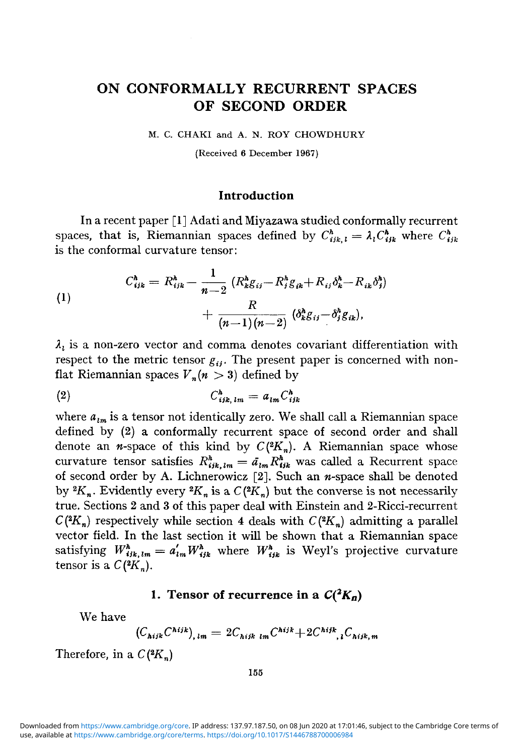## ON CONFORMALLY RECURRENT SPACES OF SECOND ORDER

M. C. CHAKI and A. N. ROY CHOWDHURY

(Received 6 December 1967)

#### **Introduction**

In a recent paper [1] Adati and Miyazawa studied conformally recurrent spaces, that is, Riemannian spaces defined by  $C_{ijk, l}^h = \lambda_l C_{ijk}^h$  where  $C_{ijk}^h$ is the conformal curvature tensor:

(1)  

$$
C_{ijk}^h = R_{ijk}^h - \frac{1}{n-2} (R_k^h g_{ij} - R_j^h g_{ik} + R_{ij} \delta_k^h - R_{ik} \delta_j^h) + \frac{R}{(n-1)(n-2)} (\delta_k^h g_{ij} - \delta_j^h g_{ik}),
$$

 $\lambda_i$  is a non-zero vector and comma denotes covariant differentiation with respect to the metric tensor  $g_{ij}$ . The present paper is concerned with nonflat Riemannian spaces  $V_n(n > 3)$  defined by

$$
(2) \tC_{ijk,lm}^h = a_{lm}C_{ijk}^h
$$

where  $a_{lm}$  is a tensor not identically zero. We shall call a Riemannian space defined by (2) a conformally recurrent space of second order and shall denote an *n*-space of this kind by  $C(^2K_n)$ . A Riemannian space whose curvature tensor satisfies  $R_{ijk,lm}^h = \tilde{a}_{lm} R_{ijk}^h$  was called a Recurrent space of second order by A. Lichnerowicz  $[2]$ . Such an  $n$ -space shall be denoted by  ${}^2K_n$ . Evidently every  ${}^2K_n$  is a  $C({}^2K_n)$  but the converse is not necessarily true. Sections 2 and 3 of this paper deal with Einstein and 2-Ricci-recurrent  $C(^{2}K_{n})$  respectively while section 4 deals with  $C(^{2}K_{n})$  admitting a parallel vector field. In the last section it will be shown that a Riemannian space satisfying  $W^h_{ijk,lm} = a'_{lm} W^h_{ijk}$  where  $W^h_{ijk}$  is Weyl's projective curvature tensor is a  $C(2K_n)$ .

### **1.** Tensor of recurrence in a  $C(^2K_n)$

We have

$$
(C_{\text{hijk}} C^{\text{hijk}})_{\text{, lm}} = 2C_{\text{hijk lm}} C^{\text{hijk}} + 2C^{\text{hijk}}_{\text{, i}} C_{\text{hijk,m}}
$$

Therefore, in a  $C(^2K_n)$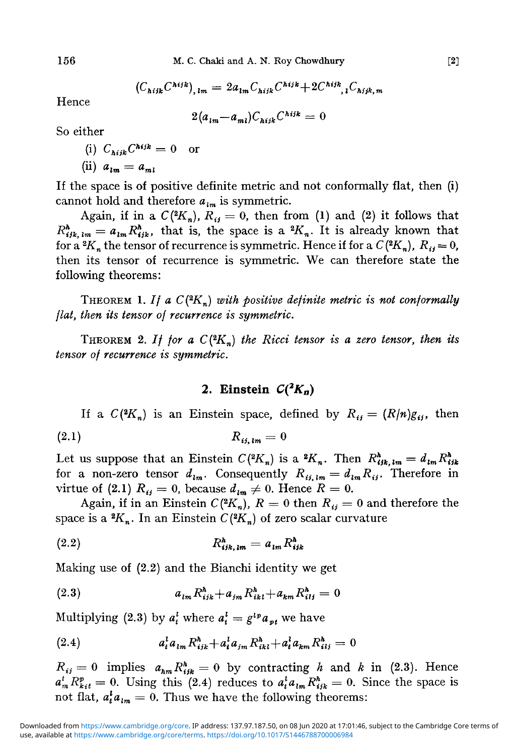$$
(C_{\text{N}ijk}C^{\text{N}ijk})_{,lm} = 2a_{lm}C_{\text{N}ijk}C^{\text{N}ijk} + 2C^{\text{N}ijk}, {}_{l}C_{\text{N}ijk,m}
$$

Hence

$$
2(a_{lm} - a_{ml})C_{hijk}C^{hijk} = 0
$$

So either

- (i)  $C_{hijk}C^{hijk} = 0$  or
- (ii)  $a_{lm} = a_{ml}$

If the space is of positive definite metric and not conformally flat, then (i) cannot hold and therefore  $a_{lm}$  is symmetric.

Again, if in a  $C(^{2}K_n)$ ,  $R_{ij} = 0$ , then from (1) and (2) it follows that  $R_{ijk,lm}^h = a_{lm} R_{ijk}^h$ , that is, the space is a  ${}^2K_n$ . It is already known that for a  ${}^2K_n$  the tensor of recurrence is symmetric. Hence if for a  $C({}^2K_n)$ ,  $R_{ij}=0$ , then its tensor of recurrence is symmetric. We can therefore state the following theorems:

THEOREM *1. If a C(<sup>2</sup> Kn) with positive definite metric is not conformally flat, then its tensor of recurrence is symmetric.*

THEOREM 2. If for a  $C(^{2}K_n)$  the Ricci tensor is a zero tensor, then its *tensor of recurrence is symmetric.*

### 2. Einstein  $C(^2K_n)$

If a  $C(^{2}K_{n})$  is an Einstein space, defined by  $R_{ij} = (R/n)g_{ij}$ , then (2.1)  $R_{ii,m} = 0$ 

Let us suppose that an Einstein  $C(^2K_n)$  is a  ${}^2K_n$ . Then  $R^h_{ijk,lm} = d_{lm}R^h_{ijk}$ for a non-zero tensor  $d_{lm}$ . Consequently  $R_{ij,lm} = d_{lm} R_{ij}$ . Therefore in virtue of (2.1)  $R_{ij} = 0$ , because  $d_{lm} \neq 0$ . Hence  $R = 0$ .

Again, if in an Einstein  $C(^{2}K_{n})$ ,  $R=0$  then  $R_{ij}=0$  and therefore the space is a  ${}^{\mathbf{2}}\!K_n$ . In an Einstein  $C({}^{\mathbf{2}}\!K_n)$  of zero scalar curvature

$$
(2.2) \t\t R_{ijk,lm}^h = a_{lm} R_{ijk}^h
$$

Making use of (2.2) and the Bianchi identity we get

(2.3) 
$$
a_{lm} R_{ijk}^{\hbar} + a_{jm} R_{ikl}^{\hbar} + a_{km} R_{ilj}^{\hbar} = 0
$$

Multiplying (2.3) by  $a_t^l$  where  $a_t^l = g^{l \cdot p} a_{\nu l}$  we have

(2.4) 
$$
a_t^l a_{lm} R_{ijk}^h + a_t^l a_{jm} R_{ikl}^h + a_t^l a_{km} R_{ilj}^h = 0
$$

 $R_{ij} = 0$  implies  $a_{hm} R_{ijk}^h = 0$  by contracting *h* and *k* in (2.3). Hence  $a^i P^h = 0$ . Using this (2.4) podings to  $a^i S^h = 0$ . Since the grass is  $a_i^t{}_m^t R_{ki}^p = 0$ . Using this (2.4) reduces to  $a_i^t a_{lm} R_{ijk}^h = 0$ . Since the space is not flat,  $a_i^{\dagger} a_{i m} = 0$ . Thus we have the following theorems: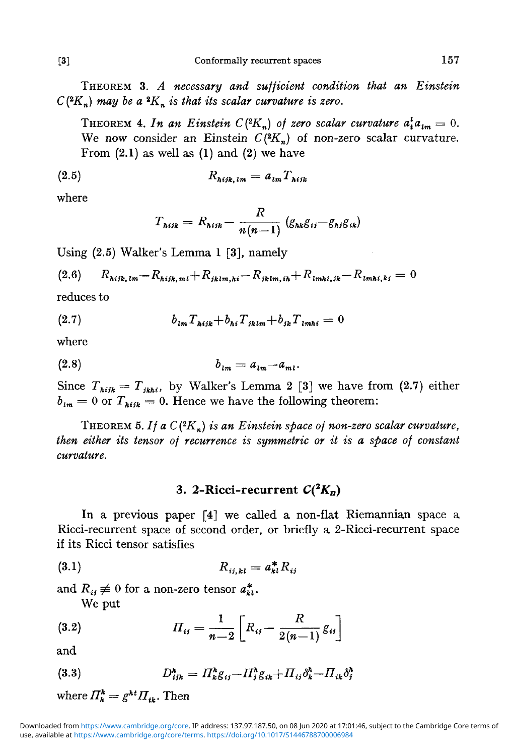THEOREM 3. *A necessary and sufficient condition that an Einstein*  $C(^{2}K_{n})$  may be a  $^{2}K_{n}$  is that its scalar curvature is zero.

THEOREM 4. In an Einstein  $C({}^2K_n)$  of zero scalar curvature  $a_i^l a_{lm} = 0$ . We now consider an Einstein  $C(2K_n)$  of non-zero scalar curvature. From  $(2.1)$  as well as  $(1)$  and  $(2)$  we have

$$
(2.5) \t\t R_{hijk,lm} = a_{lm} T_{hijk}
$$

where

$$
T_{\text{hijk}} = R_{\text{hijk}} - \frac{R}{n(n-1)} (g_{\text{hik}}g_{\text{ij}} - g_{\text{hj}}g_{\text{ik}})
$$

Using (2.5) Walker's Lemma 1 [3], namely

$$
(2.6) \qquad R_{hijk,lm} - R_{hijk,ml} + R_{jklm,hi} - R_{jklm,ih} + R_{lmhi,jk} - R_{lmhi,kj} = 0
$$

reduces to

(2.7) 
$$
b_{lm}T_{hijk} + b_{hi}T_{jklm} + b_{jk}T_{lmhi} = 0
$$

where

$$
(2.8) \t\t b_{lm} = a_{lm} - a_{ml}.
$$

Since  $T_{\text{high}} = T_{\text{jkhi}}$ , by Walker's Lemma 2 [3] we have from (2.7) either  $b_{lm} = 0$  or  $T_{hiik} = 0$ . Hence we have the following theorem:

THEOREM *5. If a C (2 Kn) is an Einstein space of non-zero scalar curvature, then either its tensor of recurrence is symmetric or it is a space of constant curvature.*

### 3. 2-Ricci-recurrent  $C(^2K_B)$

In a previous paper [4] we called a non-flat Riemannian space a Ricci-recurrent space of second order, or briefly a 2-Ricci-recurrent space if its Ricci tensor satisfies

$$
(3.1) \t\t R_{ij,kl} = a_{kl}^* R_{ij}
$$

and  $R_{ij} \neq 0$  for a non-zero tensor  $a_{kl}^*$ .

We put

(3.2) 
$$
\Pi_{ij} = \frac{1}{n-2} \left[ R_{ij} - \frac{R}{2(n-1)} g_{ij} \right]
$$

and

$$
(3.3) \tD_{ijk}^h = \Pi_k^h g_{ij} - \Pi_j^h g_{ik} + \Pi_{ij} \delta_k^h - \Pi_{ik} \delta_j^h
$$

where 
$$
\Pi_k^h = g^{ht} \Pi_{tk}
$$
. Then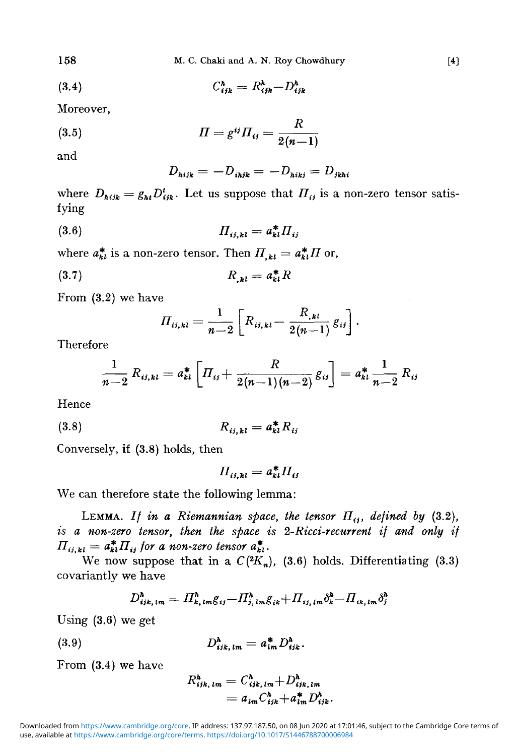158 M. C. Chaki and A. N. Roy Chowdhury [4]

$$
(3.4) \tC_{ijk}^h = R_{ijk}^h - D_{ijk}^h
$$

Moreover,

(3.5) 
$$
\Pi = g^{ij} \Pi_{ij} = \frac{R}{2(n-1)}
$$

and

$$
D_{hijk} = -D_{i hjk} = -D_{hikj} = D_{jkhi}
$$

where  $D_{hijk} = g_{hl} D^t_{ijk}$ . Let us suppose that  $\Pi_{ij}$  is a non-zero tensor satisfying

(3-6) //,,- M = a\*/7t,.

where  $a_{kl}^*$  is a non-zero tensor. Then  $\Pi_{,kl} = a_{kl}^* \Pi$  or,

$$
(3.7) \t\t R_{,kl} = a_{kl}^* R
$$

From (3.2) we have

$$
\Pi_{ii,kl} = \frac{1}{n-2} \left[ R_{ii,kl} - \frac{R_{,kl}}{2(n-1)} g_{ii} \right]
$$

Therefore

$$
\frac{1}{n-2} R_{ii,ki} = a_{ki}^* \left[ \Pi_{ij} + \frac{R}{2(n-1)(n-2)} g_{ij} \right] = a_{ki}^* \frac{1}{n-2} R_{ij}
$$

Hence

(3.8) 
$$
R_{ij,kl} = a_{kl}^* R_{ij}
$$

Conversely, if (3.8) holds, then

$$
\Pi_{ij,kl} = a_{kl}^* \Pi_{ij}
$$

We can therefore state the following lemma:

LEMMA. If in a Riemannian space, the tensor  $\Pi_{ij}$ , defined by (3.2), *is a non-zero tensor, then the space is 2-Ricci-recurrent if and only if*  $\Pi_{ij,kl} = a_{kl}^* \Pi_{ij}$  for a non-zero tensor  $a_{kl}^*$ .

We now suppose that in a  $C(^{2}K_{n})$ , (3.6) holds. Differentiating (3.3) covariantly we have

$$
D_{ijk,lm}^h = \Pi_{k,lm}^h g_{ij} - \Pi_{j,lm}^h g_{ik} + \Pi_{ij,lm} \delta_k^h - \Pi_{ik,lm} \delta_j^h
$$

Using (3.6) we get

 $(3.9)$ 

$$
D_{ijk,lm}^h = a_{lm}^* D_{ijk}^h.
$$

From (3.4) we have

$$
R_{ijk,lm}^{h} = C_{ijk,lm}^{h} + D_{ijk,lm}^{h}
$$
  
=  $a_{lm}C_{ijk}^{h} + a_{im}^{*}D_{ijk}^{h}$ .

use, available at <https://www.cambridge.org/core/terms>.<https://doi.org/10.1017/S1446788700006984> Downloaded from [https://www.cambridge.org/core.](https://www.cambridge.org/core) IP address: 137.97.187.50, on 08 Jun 2020 at 17:01:46, subject to the Cambridge Core terms of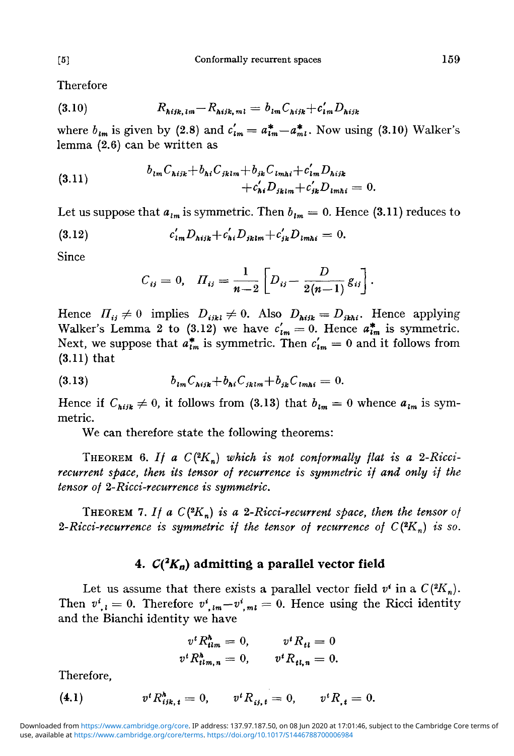**Therefore** 

(3.10) 
$$
R_{hijk,lm} - R_{hijk,ml} = b_{lm} C_{hijk} + c'_{lm} D_{hijk}
$$

where  $b_{lm}$  is given by (2.8) and  $c'_{lm} = a^*_{lm} - a^*_{ml}$ . Now using (3.10) Walker's lemma (2.6) can be written as

(3.11) 
$$
b_{lm}C_{hijk}+b_{hi}C_{jklm}+b_{jk}C_{lmhi}+c'_{lm}D_{hijk} +c'_{hl}D_{lmhi} = 0.
$$

Let us suppose that  $a_{lm}$  is symmetric. Then  $b_{lm} = 0$ . Hence (3.11) reduces to

(3.12) 
$$
c'_{im} D_{hijk} + c'_{hi} D_{jklm} + c'_{jk} D_{lmhi} = 0.
$$

Since

$$
C_{ij} = 0, \quad \Pi_{ij} = \frac{1}{n-2} \left[ D_{ij} - \frac{D}{2(n-1)} g_{ij} \right].
$$

Hence  $\Pi_{ij} \neq 0$  implies  $D_{ijkl} \neq 0$ . Also  $D_{hijk} = D_{jkh}$ . Hence applying Walker's Lemma 2 to (3.12) we have  $c'_{lm} = 0$ . Hence  $a^*_{lm}$  is symmetric. Next, we suppose that  $a^*_{lm}$  is symmetric. Then  $c'_{lm} = 0$  and it follows from (3.11) that

(3.13) 
$$
b_{lm}C_{hijk}+b_{hi}C_{jklm}+b_{jk}C_{lmhi}=0.
$$

Hence if  $C_{hijk} \neq 0$ , it follows from (3.13) that  $b_{lm} = 0$  whence  $a_{lm}$  is symmetric.

We can therefore state the following theorems:

THEOREM 6. If a  $C(^{2}K_n)$  which is not conformally flat is a 2-Ricci*recurrent space, then its tensor of recurrence is symmetric if and only if the tensor of 2-Ricci-recurrence is symmetric.*

THEOREM 7. If a  $C(^2K_n)$  is a 2-Ricci-recurrent space, then the tensor of 2-Ricci-recurrence is symmetric if the tensor of recurrence of  $C(^2K_n)$  is so.

# **4.** *C(<sup>2</sup> Ka)* **admitting a parallel vector field**

Let us assume that there exists a parallel vector field  $v^i$  in a  $C(^2K_n)$ . Then  $v^i_{\ j, l} = 0$ . Therefore  $v^i_{\ j, l m} - v^i_{\ j, m} = 0$ . Hence using the Ricci identity and the Bianchi identity we have

$$
v^{t} R_{t l m}^{\hbar} = 0, \t v^{t} R_{t l} = 0
$$
  

$$
v^{t} R_{t l m, n}^{\hbar} = 0, \t v^{t} R_{t l, n} = 0.
$$

Therefore,

(4.1) 
$$
v^t R_{ijk, t}^h = 0, \qquad v^t R_{ij, t} = 0, \qquad v^t R_{, t} = 0.
$$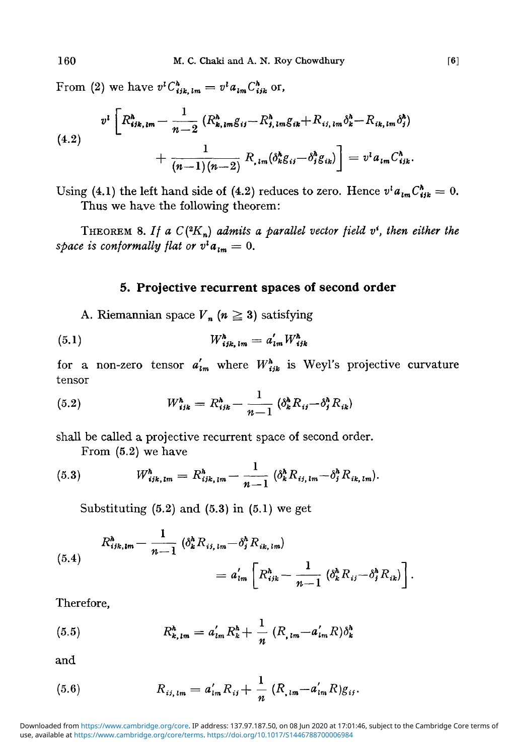From (2) we have  $v^l C^h_{ijk,lm} = v^l a_{lm} C^h_{ijk}$  or,

$$
v^{l}\left[R_{ijk,lm}^{h} - \frac{1}{n-2}\left(R_{k,lm}^{h}g_{ij} - R_{j,lm}^{h}g_{ik} + R_{ij,lm}\delta_{k}^{h} - R_{ik,lm}\delta_{j}^{h}\right) + \frac{1}{(n-1)(n-2)}R_{im}(\delta_{k}^{h}g_{ij} - \delta_{j}^{h}g_{ik})\right] = v^{l}a_{lm}C_{ijk}^{h}.
$$

Using (4.1) the left hand side of (4.2) reduces to zero. Hence  $v^{\dagger} a_{\iota m} C^{\hbar}_{ijk} = 0$ . Thus we have the following theorem:

THEOREM 8. If a  $C(^2K_n)$  admits a parallel vector field  $v^i$ , then either the *space is conformally flat or*  $v^{\dagger}a_{\iota m} = 0$ .

#### **5. Projective recurrent spaces of second order**

A. Riemannian space  $V_n$  ( $n \geq 3$ ) satisfying

$$
(5.1) \t W_{ijk,lm}^h = a'_{lm} W_{ijk}^h
$$

for a non-zero tensor  $a'_{lm}$  where  $W^h_{ijk}$  is Weyl's projective curvature tensor

(5.2) 
$$
W_{ijk}^h = R_{ijk}^h - \frac{1}{n-1} \left( \delta_k^h R_{ij} - \delta_j^h R_{ik} \right)
$$

shall be called a projective recurrent space of second order.

From (5.2) we have

(5.3) 
$$
W_{ijk,lm}^h = R_{ijk,lm}^h - \frac{1}{n-1} \left( \delta_k^h R_{ij,lm} - \delta_j^h R_{ik,lm} \right).
$$

Substituting  $(5.2)$  and  $(5.3)$  in  $(5.1)$  we get

$$
R_{ijk,lm}^{\hbar} - \frac{1}{n-1} \left( \delta_k^{\hbar} R_{ij,lm} - \delta_j^{\hbar} R_{ik,lm} \right)
$$
  
=  $a'_{lm} \left[ R_{ijk}^{\hbar} - \frac{1}{n-1} \left( \delta_k^{\hbar} R_{ij} - \delta_j^{\hbar} R_{ik} \right) \right].$ 

Therefore,

(5.5) 
$$
R_{k,lm}^h = a'_{lm} R_k^h + \frac{1}{n} (R_{,lm} - a'_{lm} R) \delta_k^h
$$

and

(5.6) 
$$
R_{ij,lm} = a'_{lm} R_{ij} + \frac{1}{n} (R_{,lm} - a'_{lm} R)g_{ij}.
$$

use, available at <https://www.cambridge.org/core/terms>.<https://doi.org/10.1017/S1446788700006984> Downloaded from [https://www.cambridge.org/core.](https://www.cambridge.org/core) IP address: 137.97.187.50, on 08 Jun 2020 at 17:01:46, subject to the Cambridge Core terms of